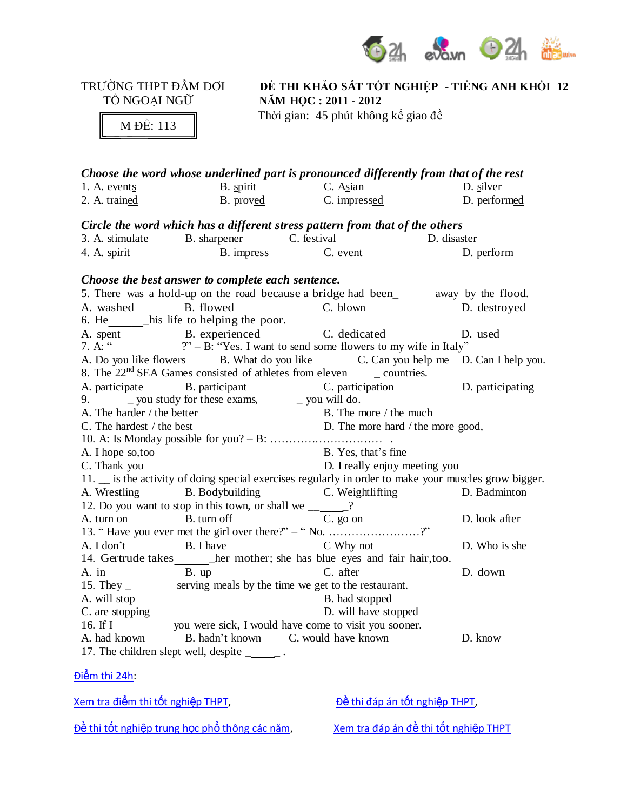

TRƯỜNG THPT ĐẦM DƠI **ĐỀ THI KHẢO SÁT TỐT NGHIỆP - TIẾNG ANH KHỐI 12**  $N\text{\AA}M$  **HQC** : 2011 **-** 2012

M ĐỀ: 113

Thời gian: 45 phút không kể giao đề

|                                                                             |                                                                          | Choose the word whose underlined part is pronounced differently from that of the rest                                                                                                                                                       |                                                                                                                                                                 |  |  |
|-----------------------------------------------------------------------------|--------------------------------------------------------------------------|---------------------------------------------------------------------------------------------------------------------------------------------------------------------------------------------------------------------------------------------|-----------------------------------------------------------------------------------------------------------------------------------------------------------------|--|--|
|                                                                             |                                                                          | 1. A. events<br>2. A. trained<br>2. A. trained<br>3. B. proved<br>2. A. trained<br>3. B. proved<br>2. A. trained<br>3. P. proved<br>3. C. impressed<br>3. D. performed<br>3. P. performed<br>3. P. performed<br>3. P. performed<br>3. P. pe |                                                                                                                                                                 |  |  |
|                                                                             |                                                                          |                                                                                                                                                                                                                                             |                                                                                                                                                                 |  |  |
|                                                                             |                                                                          | Circle the word which has a different stress pattern from that of the others                                                                                                                                                                |                                                                                                                                                                 |  |  |
|                                                                             |                                                                          |                                                                                                                                                                                                                                             |                                                                                                                                                                 |  |  |
| 4. A. spirit                                                                |                                                                          | 3. A. stimulate B. sharpener C. festival C. event D. disaster A. A. spirit B. impress C. event D. I                                                                                                                                         | D. perform                                                                                                                                                      |  |  |
|                                                                             | Choose the best answer to complete each sentence.                        |                                                                                                                                                                                                                                             |                                                                                                                                                                 |  |  |
|                                                                             |                                                                          | 5. There was a hold-up on the road because a bridge had been_________ away by the flood.                                                                                                                                                    |                                                                                                                                                                 |  |  |
|                                                                             | A. washed B. flowed                                                      | C. blown D. destroyed                                                                                                                                                                                                                       |                                                                                                                                                                 |  |  |
|                                                                             | 6. He ________his life to helping the poor.                              |                                                                                                                                                                                                                                             |                                                                                                                                                                 |  |  |
|                                                                             |                                                                          | A. spent B. experienced C. dedicated D. used<br>7. A: "____________?" – B: "Yes. I want to send some flowers to my wife in Italy"                                                                                                           |                                                                                                                                                                 |  |  |
|                                                                             |                                                                          |                                                                                                                                                                                                                                             |                                                                                                                                                                 |  |  |
|                                                                             |                                                                          | A. Do you like flowers B. What do you like C. Can you help me D. Can I help you.                                                                                                                                                            |                                                                                                                                                                 |  |  |
|                                                                             |                                                                          | 8. The $22^{nd}$ SEA Games consisted of athletes from eleven _______ countries.                                                                                                                                                             |                                                                                                                                                                 |  |  |
|                                                                             |                                                                          |                                                                                                                                                                                                                                             |                                                                                                                                                                 |  |  |
|                                                                             |                                                                          |                                                                                                                                                                                                                                             |                                                                                                                                                                 |  |  |
|                                                                             |                                                                          |                                                                                                                                                                                                                                             |                                                                                                                                                                 |  |  |
|                                                                             |                                                                          |                                                                                                                                                                                                                                             | A. The harder / the better<br>$\overline{C}$ The hardest / the best<br>$\overline{C}$ The hardest / the best<br>$\overline{D}$ . The more hard / the more good, |  |  |
|                                                                             |                                                                          |                                                                                                                                                                                                                                             |                                                                                                                                                                 |  |  |
| A. I hope so, too                                                           |                                                                          | B. Yes, that's fine                                                                                                                                                                                                                         |                                                                                                                                                                 |  |  |
| C. Thank you                                                                |                                                                          | D. I really enjoy meeting you                                                                                                                                                                                                               |                                                                                                                                                                 |  |  |
|                                                                             |                                                                          | 11. _ is the activity of doing special exercises regularly in order to make your muscles grow bigger.                                                                                                                                       |                                                                                                                                                                 |  |  |
|                                                                             |                                                                          | A. Wrestling B. Bodybuilding C. Weightlifting D. Badminton                                                                                                                                                                                  |                                                                                                                                                                 |  |  |
|                                                                             | 12. Do you want to stop in this town, or shall we $\frac{1}{\sqrt{2}}$ ? |                                                                                                                                                                                                                                             | D. look after                                                                                                                                                   |  |  |
|                                                                             | A. turn on B. turn off C. go on                                          |                                                                                                                                                                                                                                             |                                                                                                                                                                 |  |  |
| 13. "Have you ever met the girl over there?" $-$ "No. ?"                    |                                                                          |                                                                                                                                                                                                                                             |                                                                                                                                                                 |  |  |
|                                                                             |                                                                          | A. I don't B. I have C Why not                                                                                                                                                                                                              | D. Who is she                                                                                                                                                   |  |  |
| 14. Gertrude takes ______ her mother; she has blue eyes and fair hair, too. |                                                                          |                                                                                                                                                                                                                                             |                                                                                                                                                                 |  |  |
| A. in                                                                       | B. up C. after                                                           |                                                                                                                                                                                                                                             | D. down                                                                                                                                                         |  |  |
|                                                                             |                                                                          | 15. They ____________serving meals by the time we get to the restaurant.                                                                                                                                                                    |                                                                                                                                                                 |  |  |
| A. will stop                                                                |                                                                          | B. had stopped                                                                                                                                                                                                                              |                                                                                                                                                                 |  |  |
| D. will have stopped<br>C. are stopping                                     |                                                                          |                                                                                                                                                                                                                                             |                                                                                                                                                                 |  |  |
|                                                                             |                                                                          |                                                                                                                                                                                                                                             |                                                                                                                                                                 |  |  |
|                                                                             |                                                                          | A. had known B. hadn't known C. would have known                                                                                                                                                                                            | D. know                                                                                                                                                         |  |  |
|                                                                             | 17. The children slept well, despite _______.                            |                                                                                                                                                                                                                                             |                                                                                                                                                                 |  |  |

Điểm thi 24h:

Xem tra điểm thi tốt nghiệp THPT, Dề thi đáp án tốt nghiệp THPT,

Đề thi tốt nghiệp trung học phổ thông các năm, Xem tra đáp án đề thi tốt nghiệp THPT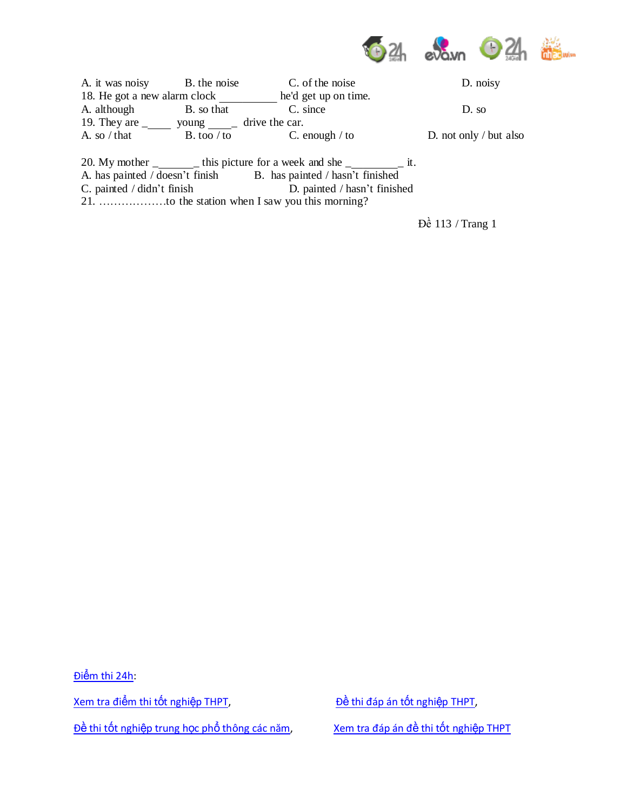

| A. it was noisy                        | B. the noise | C. of the noise                       | D. noisy               |
|----------------------------------------|--------------|---------------------------------------|------------------------|
| 18. He got a new alarm clock           |              | he'd get up on time.                  |                        |
| A. although                            | B. so that   | C. since                              | $D.$ so                |
| 19. They are $\overline{\phantom{0}}$  | young        | drive the car.                        |                        |
| A. so $/\theta$ that                   | B. too / to  | C. enough $/$ to                      | D. not only / but also |
| 20. My mother $\overline{\phantom{0}}$ |              | $\pm$ this picture for a week and she | 1t.                    |

A. has painted / doesn't finish B. has painted / hasn't finished C. painted / didn't finish D. painted / hasn't finish

D. painted / hasn't finished

21. ………………to the station when I saw you this morning?

Đề 113 / Trang 1

Điểm thi 24h: Xem tra điểm thi tốt nghiệp THPT, Đề thi đáp án tốt nghiệp THPT, Đề thi tốt nghiệp trung học phổ thông các năm, Xem tra đáp án đề thi tốt nghiệp THPT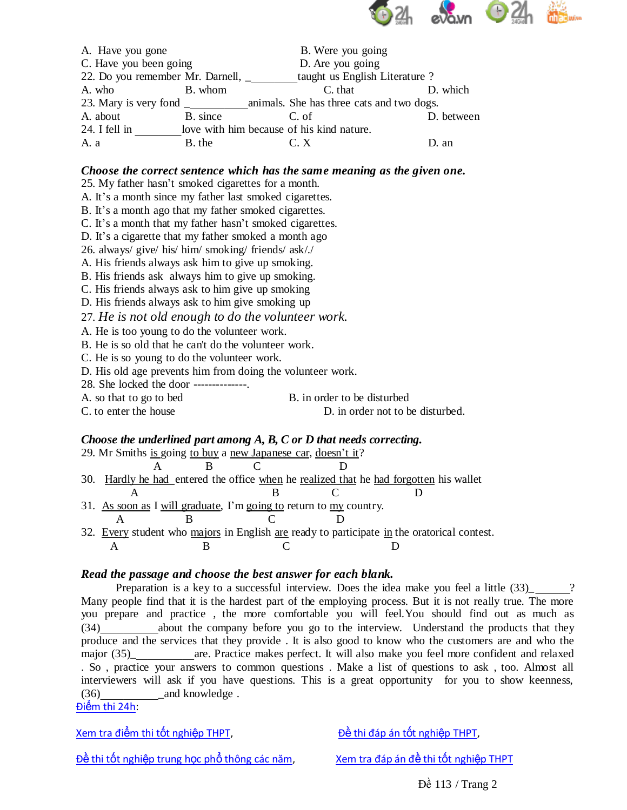

| A. Have you gone                 |                                           | B. Were you going              |            |
|----------------------------------|-------------------------------------------|--------------------------------|------------|
| C. Have you been going           |                                           | D. Are you going               |            |
| 22. Do you remember Mr. Darnell, |                                           | taught us English Literature ? |            |
| A. who                           | B. whom                                   | C. that                        | D. which   |
|                                  |                                           |                                |            |
| A. about                         | B. since                                  | C. of                          | D. between |
| 24. I fell in                    | love with him because of his kind nature. |                                |            |
| A. a                             | B. the                                    | C. X                           | D. an      |

## *Choose the correct sentence which has the same meaning as the given one.*

25. My father hasn't smoked cigarettes for a month.

A. It's a month since my father last smoked cigarettes.

B. It's a month ago that my father smoked cigarettes.

C. It's a month that my father hasn't smoked cigarettes.

D. It's a cigarette that my father smoked a month ago

26. always/ give/ his/ him/ smoking/ friends/ ask/./

A. His friends always ask him to give up smoking.

B. His friends ask always him to give up smoking.

C. His friends always ask to him give up smoking

D. His friends always ask to him give smoking up

27. *He is not old enough to do the volunteer work.*

A. He is too young to do the volunteer work.

B. He is so old that he can't do the volunteer work.

C. He is so young to do the volunteer work.

D. His old age prevents him from doing the volunteer work.

28. She locked the door --------------.

A. so that to go to bed B. in order to be disturbed

C. to enter the house D. in order not to be disturbed.

*Choose the underlined part among A, B, C or D that needs correcting.*

| 29. Mr Smiths is going to buy a new Japanese car, doesn't it?      |  |                                                                                             |  |
|--------------------------------------------------------------------|--|---------------------------------------------------------------------------------------------|--|
|                                                                    |  |                                                                                             |  |
|                                                                    |  | 30. Hardly he had entered the office when he realized that he had forgotten his wallet      |  |
|                                                                    |  |                                                                                             |  |
| 31. As soon as I will graduate, I'm going to return to my country. |  |                                                                                             |  |
|                                                                    |  |                                                                                             |  |
|                                                                    |  | 32. Every student who majors in English are ready to participate in the oratorical contest. |  |
|                                                                    |  |                                                                                             |  |

## *Read the passage and choose the best answer for each blank.*

Preparation is a key to a successful interview. Does the idea make you feel a little (33) Many people find that it is the hardest part of the employing process. But it is not really true. The more you prepare and practice , the more comfortable you will feel.You should find out as much as (34) about the company before you go to the interview. Understand the products that they produce and the services that they provide . It is also good to know who the customers are and who the major (35)\_ are. Practice makes perfect. It will also make you feel more confident and relaxed . So , practice your answers to common questions . Make a list of questions to ask , too. Almost all interviewers will ask if you have questions. This is a great opportunity for you to show keenness, (36) and knowledge.

Điểm thi 24h:

Xem tra điểm thi tốt nghiệp THPT, Dề thi đáp án tốt nghiệp THPT,

Đề thi tốt nghiệp trung học phổ thông các năm, Xem tra đáp án đề thi tốt nghiệp THPT

Đề 113 / Trang 2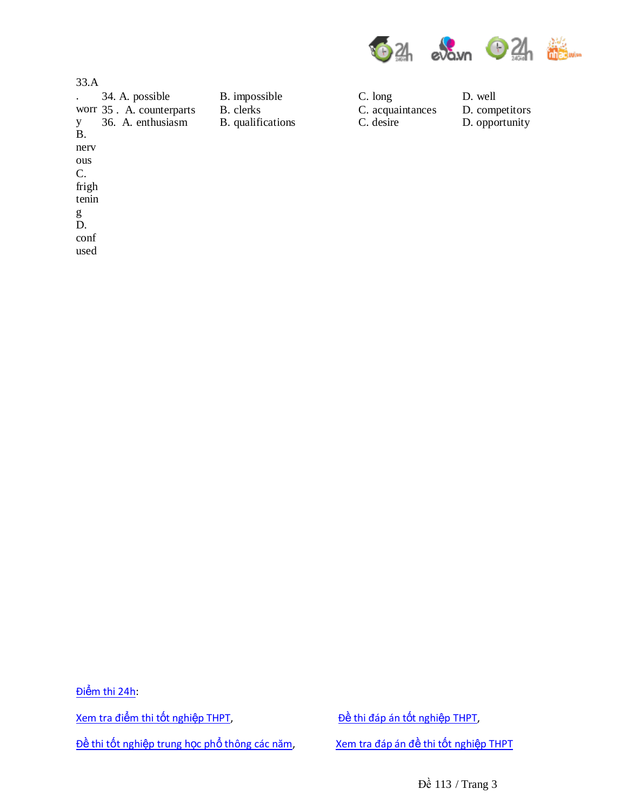

D. competitors D. opportunity

34. A. possible B. impossible C. long D. well

C. acquaintances

C. desire

| 33.A      |                          |                   |
|-----------|--------------------------|-------------------|
|           | 34. A. possible          | B. impossible     |
|           | worr 35. A. counterparts | B. clerks         |
| y         | 36. A. enthusiasm        | B. qualifications |
| <b>B.</b> |                          |                   |
| nery      |                          |                   |
| ous       |                          |                   |
| C.        |                          |                   |
| frigh     |                          |                   |
| tenin     |                          |                   |
| g         |                          |                   |
| D.        |                          |                   |
| conf      |                          |                   |

used

Điểm thi 24h: Xem tra điểm thi tốt nghiệp THPT, Đề thi đáp án tốt nghiệp THPT, Đề thi tốt nghiệp trung học phổ thông các năm, Xem tra đáp án đề thi tốt nghiệp THPT